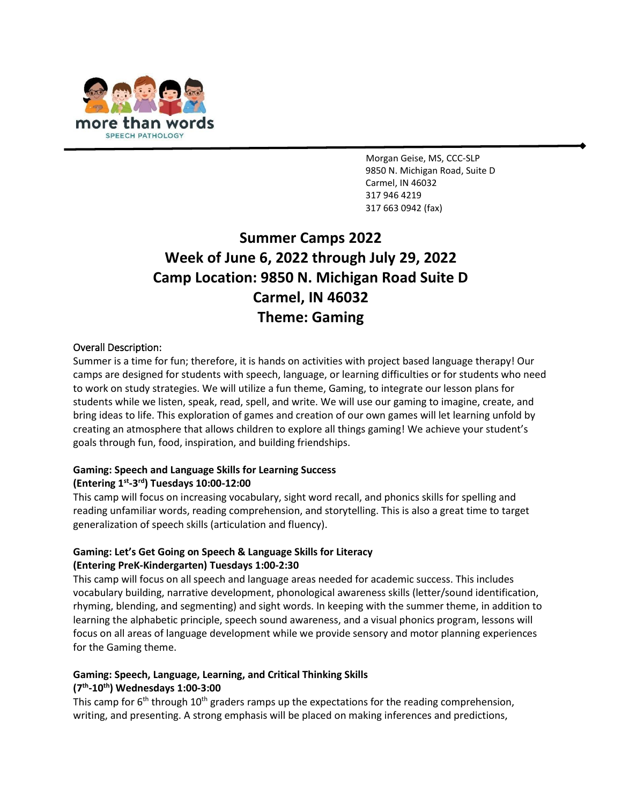

Morgan Geise, MS, CCC-SLP 9850 N. Michigan Road, Suite D Carmel, IN 46032 317 946 4219 31[7 663 0942](about:blank) (fax)

# **Summer Camps 2022 Week of June 6, 2022 through July 29, 2022 Camp Location: 9850 N. Michigan Road Suite D Carmel, IN 46032 Theme: Gaming**

#### Overall Description:

Summer is a time for fun; therefore, it is hands on activities with project based language therapy! Our camps are designed for students with speech, language, or learning difficulties or for students who need to work on study strategies. We will utilize a fun theme, Gaming, to integrate our lesson plans for students while we listen, speak, read, spell, and write. We will use our gaming to imagine, create, and bring ideas to life. This exploration of games and creation of our own games will let learning unfold by creating an atmosphere that allows children to explore all things gaming! We achieve your student's goals through fun, food, inspiration, and building friendships.

## **Gaming: Speech and Language Skills for Learning Success (Entering 1st -3 rd) Tuesdays 10:00-12:00**

This camp will focus on increasing vocabulary, sight word recall, and phonics skills for spelling and reading unfamiliar words, reading comprehension, and storytelling. This is also a great time to target generalization of speech skills (articulation and fluency).

#### **Gaming: Let's Get Going on Speech & Language Skills for Literacy (Entering PreK-Kindergarten) Tuesdays 1:00-2:30**

This camp will focus on all speech and language areas needed for academic success. This includes vocabulary building, narrative development, phonological awareness skills (letter/sound identification, rhyming, blending, and segmenting) and sight words. In keeping with the summer theme, in addition to learning the alphabetic principle, speech sound awareness, and a visual phonics program, lessons will focus on all areas of language development while we provide sensory and motor planning experiences for the Gaming theme.

## **Gaming: Speech, Language, Learning, and Critical Thinking Skills (7 th -10th) Wednesdays 1:00-3:00**

This camp for 6<sup>th</sup> through 10<sup>th</sup> graders ramps up the expectations for the reading comprehension, writing, and presenting. A strong emphasis will be placed on making inferences and predictions,